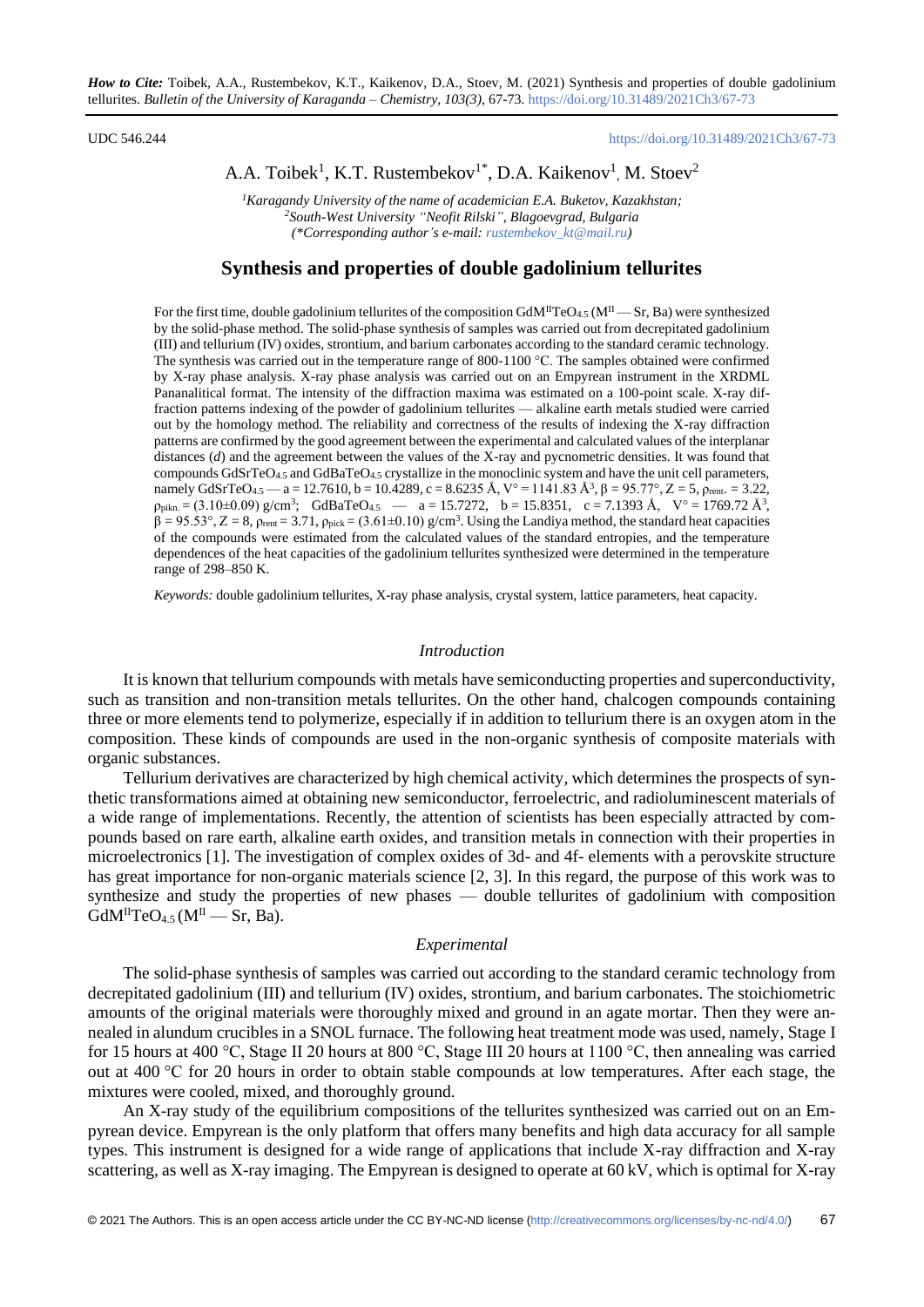## UDC 546.244 <https://doi.org/10.31489/2021Ch3/67-73>

# A.A. Toibek<sup>1</sup>, K.T. Rustembekov<sup>1\*</sup>, D.A. Kaikenov<sup>1</sup>, M. Stoev<sup>2</sup>

*<sup>1</sup>Karagandy University of the name of academician E.A. Buketov, Kazakhstan; <sup>2</sup>South-West University "Neofit Rilski", Blagoevgrad, Bulgaria (\*Corresponding author's e-mail: [rustembekov\\_kt@mail.ru\)](mailto:rustembekov_kt@mail.ru)*

## **Synthesis and properties of double gadolinium tellurites**

For the first time, double gadolinium tellurites of the composition GdM<sup>II</sup>TeO<sub>4.5</sub> (M<sup>II</sup> — Sr, Ba) were synthesized by the solid-phase method. The solid-phase synthesis of samples was carried out from decrepitated gadolinium (III) and tellurium (IV) oxides, strontium, and barium carbonates according to the standard ceramic technology. The synthesis was carried out in the temperature range of 800-1100 °C. The samples obtained were confirmed by X-ray phase analysis. X-ray phase analysis was carried out on an Empyrean instrument in the XRDML Pananalitical format. The intensity of the diffraction maxima was estimated on a 100-point scale. X-ray diffraction patterns indexing of the powder of gadolinium tellurites — alkaline earth metals studied were carried out by the homology method. The reliability and correctness of the results of indexing the X-ray diffraction patterns are confirmed by the good agreement between the experimental and calculated values of the interplanar distances (*d*) and the agreement between the values of the X-ray and pycnometric densities. It was found that compounds GdSrTeO4.5 and GdBaTeO4.5 crystallize in the monoclinic system and have the unit cell parameters, namely GdSrTeO<sub>4.5</sub> — a = 12.7610, b = 10.4289, c = 8.6235 Å, V° = 1141.83 Å<sup>3</sup>,  $\beta$  = 95.77°, Z = 5,  $\rho_{\text{rent.}}$  = 3.22,  $\rho_{\text{pikn}} = (3.10 \pm 0.09) \text{ g/cm}^3$ ; GdBaTeO<sub>4.5</sub> — a = 15.7272, b = 15.8351, c = 7.1393 Å, V° = 1769.72 Å<sup>3</sup>,  $\beta = 95.53^\circ$ ,  $Z = 8$ ,  $\rho_{\text{rent}} = 3.71$ ,  $\rho_{\text{pick}} = (3.61 \pm 0.10)$  g/cm<sup>3</sup>. Using the Landiya method, the standard heat capacities of the compounds were estimated from the calculated values of the standard entropies, and the temperature dependences of the heat capacities of the gadolinium tellurites synthesized were determined in the temperature range of 298–850 K.

*Keywords:* double gadolinium tellurites, X-ray phase analysis, crystal system, lattice parameters, heat capacity.

#### *Introduction*

It is known that tellurium compounds with metals have semiconducting properties and superconductivity, such as transition and non-transition metals tellurites. On the other hand, chalcogen compounds containing three or more elements tend to polymerize, especially if in addition to tellurium there is an oxygen atom in the composition. These kinds of compounds are used in the non-organic synthesis of composite materials with organic substances.

Tellurium derivatives are characterized by high chemical activity, which determines the prospects of synthetic transformations aimed at obtaining new semiconductor, ferroelectric, and radioluminescent materials of a wide range of implementations. Recently, the attention of scientists has been especially attracted by compounds based on rare earth, alkaline earth oxides, and transition metals in connection with their properties in microelectronics [1]. The investigation of complex oxides of 3d- and 4f- elements with a perovskite structure has great importance for non-organic materials science [2, 3]. In this regard, the purpose of this work was to synthesize and study the properties of new phases — double tellurites of gadolinium with composition  $GdM^{II}TeO<sub>4.5</sub>$  ( $M^{II}$  — Sr, Ba).

#### *Experimental*

The solid-phase synthesis of samples was carried out according to the standard ceramic technology from decrepitated gadolinium (III) and tellurium (IV) oxides, strontium, and barium carbonates. The stoichiometric amounts of the original materials were thoroughly mixed and ground in an agate mortar. Then they were annealed in alundum crucibles in a SNOL furnace. The following heat treatment mode was used, namely, Stage I for 15 hours at 400 °C, Stage II 20 hours at 800 °C, Stage III 20 hours at 1100 °C, then annealing was carried out at 400 °C for 20 hours in order to obtain stable compounds at low temperatures. After each stage, the mixtures were cooled, mixed, and thoroughly ground.

An X-ray study of the equilibrium compositions of the tellurites synthesized was carried out on an Empyrean device. Empyrean is the only platform that offers many benefits and high data accuracy for all sample types. This instrument is designed for a wide range of applications that include X-ray diffraction and X-ray scattering, as well as X-ray imaging. The Empyrean is designed to operate at 60 kV, which is optimal for X-ray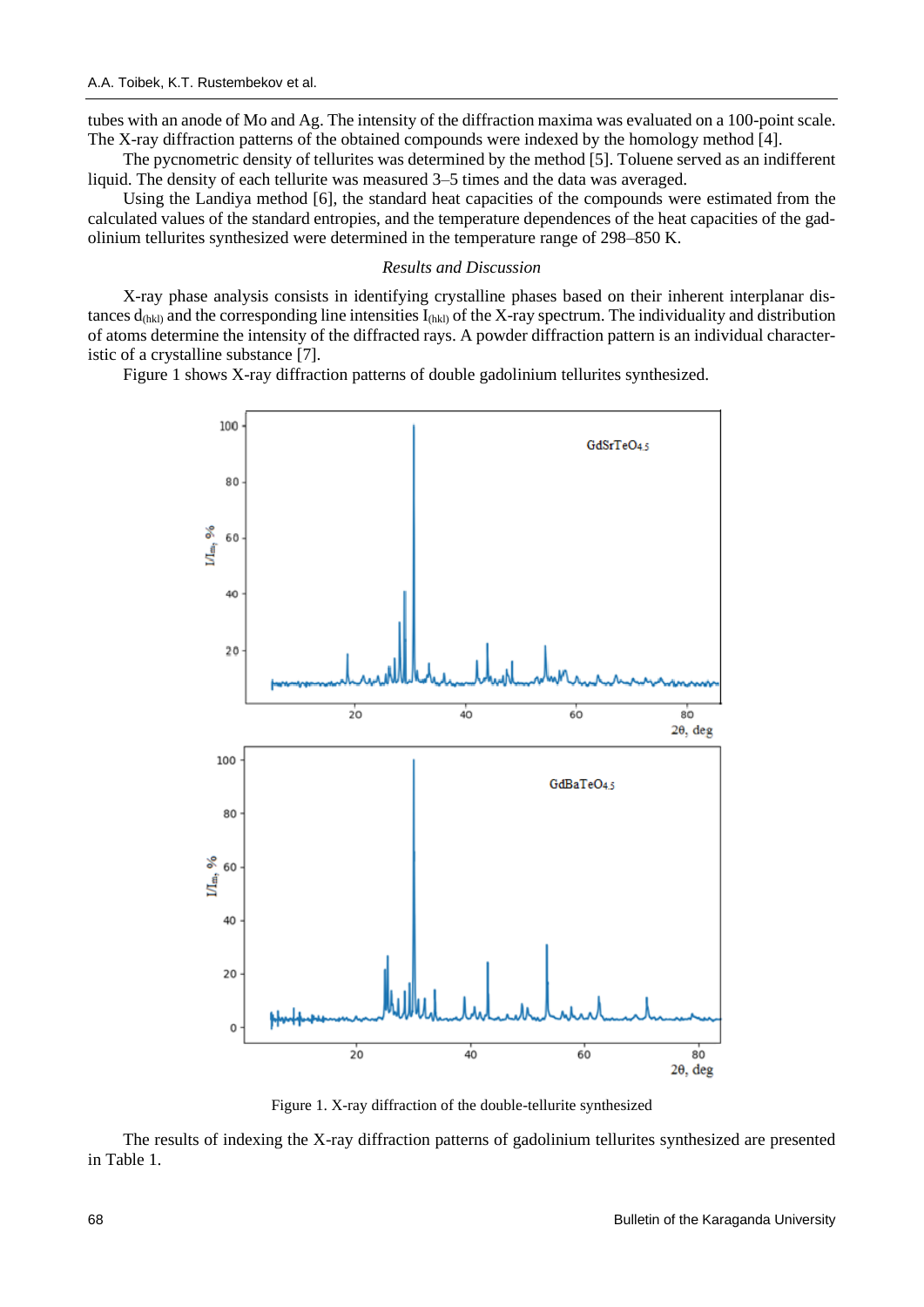tubes with an anode of Mo and Ag. The intensity of the diffraction maxima was evaluated on a 100-point scale. The X-ray diffraction patterns of the obtained compounds were indexed by the homology method [4].

The pycnometric density of tellurites was determined by the method [5]. Toluene served as an indifferent liquid. The density of each tellurite was measured 3–5 times and the data was averaged.

Using the Landiya method [6], the standard heat capacities of the compounds were estimated from the calculated values of the standard entropies, and the temperature dependences of the heat capacities of the gadolinium tellurites synthesized were determined in the temperature range of 298–850 K.

## *Results and Discussion*

X-ray phase analysis consists in identifying crystalline phases based on their inherent interplanar distances  $d_{thkl}$ ) and the corresponding line intensities  $I_{thkl}$  of the X-ray spectrum. The individuality and distribution of atoms determine the intensity of the diffracted rays. A powder diffraction pattern is an individual characteristic of a crystalline substance [7].

Figure 1 shows X-ray diffraction patterns of double gadolinium tellurites synthesized.



Figure 1. X-ray diffraction of the double-tellurite synthesized

The results of indexing the X-ray diffraction patterns of gadolinium tellurites synthesized are presented in Table 1.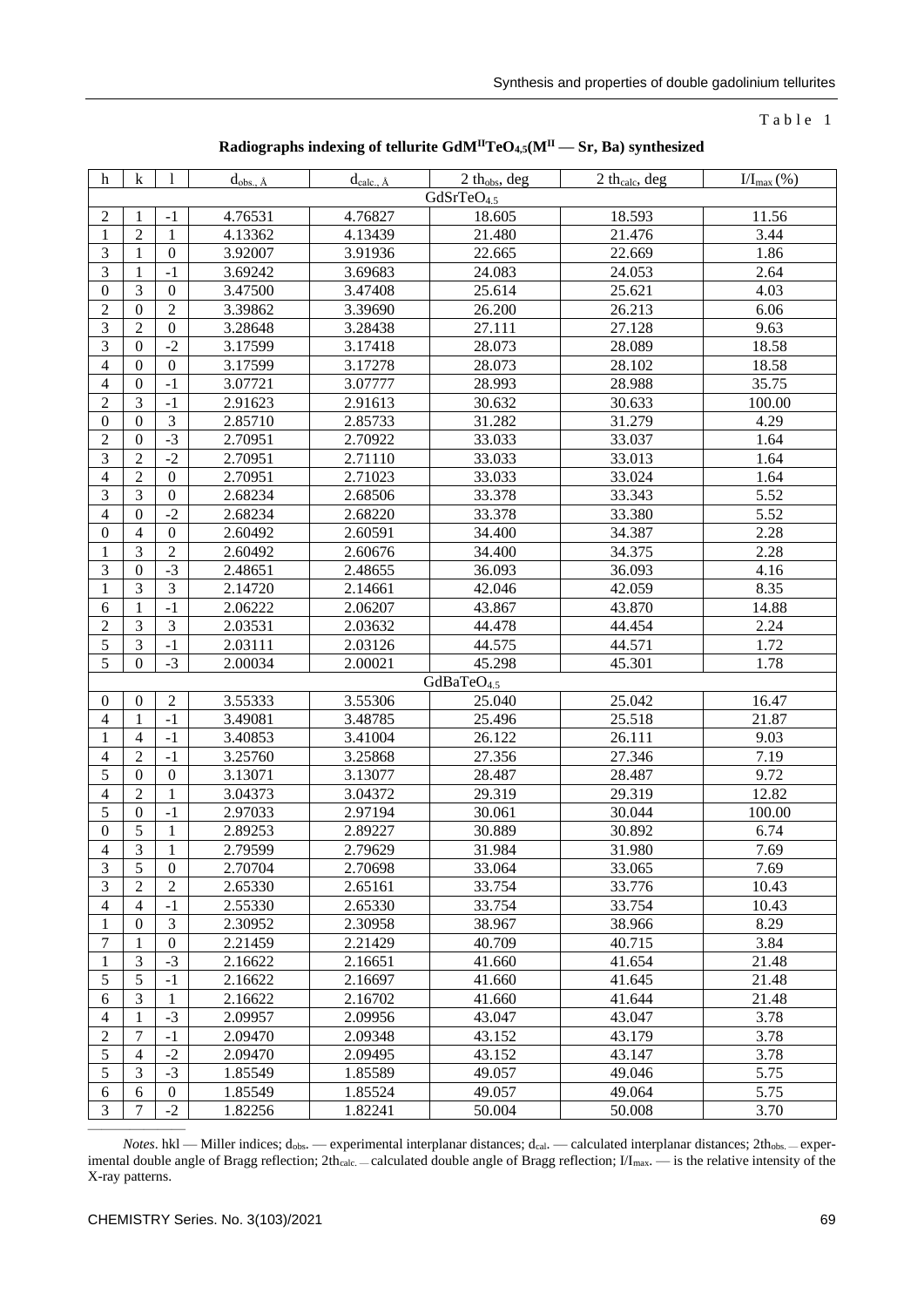## $T$  a b  $l$  e  $l$

| Radiographs indexing of tellurite $GdM^{II}TeO_{4,5}(M^{II}-Sr, Ba)$ synthesized |
|----------------------------------------------------------------------------------|
|----------------------------------------------------------------------------------|

| $\mathbf h$      | $\mathbf k$            | -1               | $d_{obs., A}$ | $d_{calc., A}$ | 2 thobs, deg           | 2 th <sub>calc</sub> , deg | $I/I_{\text{max}}(\%)$ |  |
|------------------|------------------------|------------------|---------------|----------------|------------------------|----------------------------|------------------------|--|
|                  | GdSrTeO <sub>4.5</sub> |                  |               |                |                        |                            |                        |  |
| 2                | 1                      | $-1$             | 4.76531       | 4.76827        | 18.605                 | 18.593                     | 11.56                  |  |
| 1                | $\sqrt{2}$             | $\mathbf{1}$     | 4.13362       | 4.13439        | 21.480                 | 21.476                     | 3.44                   |  |
| $\mathfrak{Z}$   | 1                      | $\boldsymbol{0}$ | 3.92007       | 3.91936        | 22.665                 | 22.669                     | 1.86                   |  |
| 3                | 1                      | $-1$             | 3.69242       | 3.69683        | 24.083                 | 24.053                     | 2.64                   |  |
| $\boldsymbol{0}$ | 3                      | $\boldsymbol{0}$ | 3.47500       | 3.47408        | 25.614                 | 25.621                     | 4.03                   |  |
| $\boldsymbol{2}$ | $\boldsymbol{0}$       | $\overline{2}$   | 3.39862       | 3.39690        | 26.200                 | 26.213                     | 6.06                   |  |
| $\mathfrak{Z}$   | $\overline{2}$         | $\mathbf{0}$     | 3.28648       | 3.28438        | 27.111                 | 27.128                     | 9.63                   |  |
| $\mathfrak{Z}$   | $\boldsymbol{0}$       | $-2$             | 3.17599       | 3.17418        | 28.073                 | 28.089                     | 18.58                  |  |
| $\overline{4}$   | $\theta$               | $\boldsymbol{0}$ | 3.17599       | 3.17278        | 28.073                 | 28.102                     | 18.58                  |  |
| $\overline{4}$   | $\boldsymbol{0}$       | $-1$             | 3.07721       | 3.07777        | 28.993                 | 28.988                     | 35.75                  |  |
| $\sqrt{2}$       | 3                      | $-1$             | 2.91623       | 2.91613        | 30.632                 | 30.633                     | 100.00                 |  |
| $\boldsymbol{0}$ | $\theta$               | $\mathfrak{Z}$   | 2.85710       | 2.85733        | 31.282                 | 31.279                     | 4.29                   |  |
| $\boldsymbol{2}$ | $\boldsymbol{0}$       | $-3$             | 2.70951       | 2.70922        | 33.033                 | 33.037                     | 1.64                   |  |
| $\mathfrak{Z}$   | $\overline{2}$         | $-2$             | 2.70951       | 2.71110        | 33.033                 | 33.013                     | 1.64                   |  |
| $\overline{4}$   | $\overline{2}$         | $\boldsymbol{0}$ | 2.70951       | 2.71023        | 33.033                 | 33.024                     | 1.64                   |  |
| $\mathfrak{Z}$   | 3                      | $\boldsymbol{0}$ | 2.68234       | 2.68506        | 33.378                 | 33.343                     | 5.52                   |  |
| $\overline{4}$   | $\theta$               | $-2$             | 2.68234       | 2.68220        | 33.378                 | 33.380                     | 5.52                   |  |
| $\overline{0}$   | $\overline{4}$         | $\boldsymbol{0}$ | 2.60492       | 2.60591        | 34.400                 | 34.387                     | 2.28                   |  |
| 1                | 3                      | $\sqrt{2}$       | 2.60492       | 2.60676        | 34.400                 | 34.375                     | 2.28                   |  |
| 3                | $\boldsymbol{0}$       | $-3$             | 2.48651       | 2.48655        | 36.093                 | 36.093                     | 4.16                   |  |
| 1                | 3                      | $\mathfrak{Z}$   | 2.14720       | 2.14661        | 42.046                 | 42.059                     | 8.35                   |  |
| 6                | 1                      | $-1$             | 2.06222       | 2.06207        | 43.867                 | 43.870                     | 14.88                  |  |
| $\boldsymbol{2}$ | 3                      | $\mathfrak{Z}$   | 2.03531       | 2.03632        | 44.478                 | 44.454                     | 2.24                   |  |
| 5                | 3                      | $-1$             | 2.03111       | 2.03126        | 44.575                 | 44.571                     | 1.72                   |  |
| 5                | $\theta$               | $-3$             | 2.00034       | 2.00021        | 45.298                 | 45.301                     | 1.78                   |  |
|                  |                        |                  |               |                | GdBaTeO <sub>4.5</sub> |                            |                        |  |
| $\theta$         | $\mathbf{0}$           | $\overline{c}$   | 3.55333       | 3.55306        | 25.040                 | 25.042                     | 16.47                  |  |
| 4                | $\mathbf{1}$           | $-1$             | 3.49081       | 3.48785        | 25.496                 | 25.518                     | 21.87                  |  |
| 1                | $\overline{4}$         | $-1$             | 3.40853       | 3.41004        | 26.122                 | 26.111                     | 9.03                   |  |
| $\overline{4}$   | $\overline{2}$         | $-1$             | 3.25760       | 3.25868        | 27.356                 | 27.346                     | 7.19                   |  |
| 5                | $\boldsymbol{0}$       | $\boldsymbol{0}$ | 3.13071       | 3.13077        | 28.487                 | 28.487                     | 9.72                   |  |
| $\overline{4}$   | $\overline{2}$         | $\mathbf{1}$     | 3.04373       | 3.04372        | 29.319                 | 29.319                     | 12.82                  |  |
| 5                | $\boldsymbol{0}$       | $-1$             | 2.97033       | 2.97194        | 30.061                 | 30.044                     | 100.00                 |  |
| $\boldsymbol{0}$ | 5                      | 1                | 2.89253       | 2.89227        | 30.889                 | 30.892                     | 6.74                   |  |
| $\overline{4}$   | $\overline{3}$         | $\mathbf{1}$     | 2.79599       | 2.79629        | 31.984                 | 31.980                     | 7.69                   |  |
| 3                | 5                      | $\overline{0}$   | 2.70704       | 2.70698        | 33.064                 | 33.065                     | 7.69                   |  |
| $\mathfrak{Z}$   | $\overline{2}$         | $\overline{2}$   | 2.65330       | 2.65161        | 33.754                 | 33.776                     | 10.43                  |  |
| $\overline{4}$   | $\overline{4}$         | $-1$             | 2.55330       | 2.65330        | 33.754                 | 33.754                     | 10.43                  |  |
| 1                | $\boldsymbol{0}$       | $\mathfrak{Z}$   | 2.30952       | 2.30958        | 38.967                 | 38.966                     | 8.29                   |  |
| 7                | 1                      | $\boldsymbol{0}$ | 2.21459       | 2.21429        | 40.709                 | 40.715                     | 3.84                   |  |
| 1                | $\mathfrak{Z}$         | $-3$             | 2.16622       | 2.16651        | 41.660                 | 41.654                     | 21.48                  |  |
| $\mathfrak s$    | 5                      | $-1$             | 2.16622       | 2.16697        | 41.660                 | 41.645                     | 21.48                  |  |
| 6                | $\overline{3}$         | 1                | 2.16622       | 2.16702        | 41.660                 | 41.644                     | 21.48                  |  |
| $\overline{4}$   | 1                      | $-3$             | 2.09957       | 2.09956        | 43.047                 | 43.047                     | 3.78                   |  |
| $\boldsymbol{2}$ | 7                      | $-1$             | 2.09470       | 2.09348        | 43.152                 | 43.179                     | 3.78                   |  |
| 5                | $\overline{4}$         | $-2$             | 2.09470       | 2.09495        | 43.152                 | 43.147                     | 3.78                   |  |
| $\mathfrak{S}$   | $\mathfrak{Z}$         | $-3$             | 1.85549       | 1.85589        | 49.057                 | 49.046                     | 5.75                   |  |
| 6                | 6                      | $\boldsymbol{0}$ | 1.85549       | 1.85524        | 49.057                 | 49.064                     | 5.75                   |  |
| $\mathfrak{Z}$   | $\overline{7}$         | $-2$             | 1.82256       | 1.82241        | 50.004                 | 50.008                     | 3.70                   |  |

*Notes*. hkl — Miller indices; d<sub>obs</sub>. — experimental interplanar distances; d<sub>cal</sub>. — calculated interplanar distances; 2th<sub>obs.</sub> - experimental double angle of Bragg reflection;  $2th_{calc}$   $=$  calculated double angle of Bragg reflection;  $1/I_{max}$   $=$  is the relative intensity of the X-ray patterns.

———————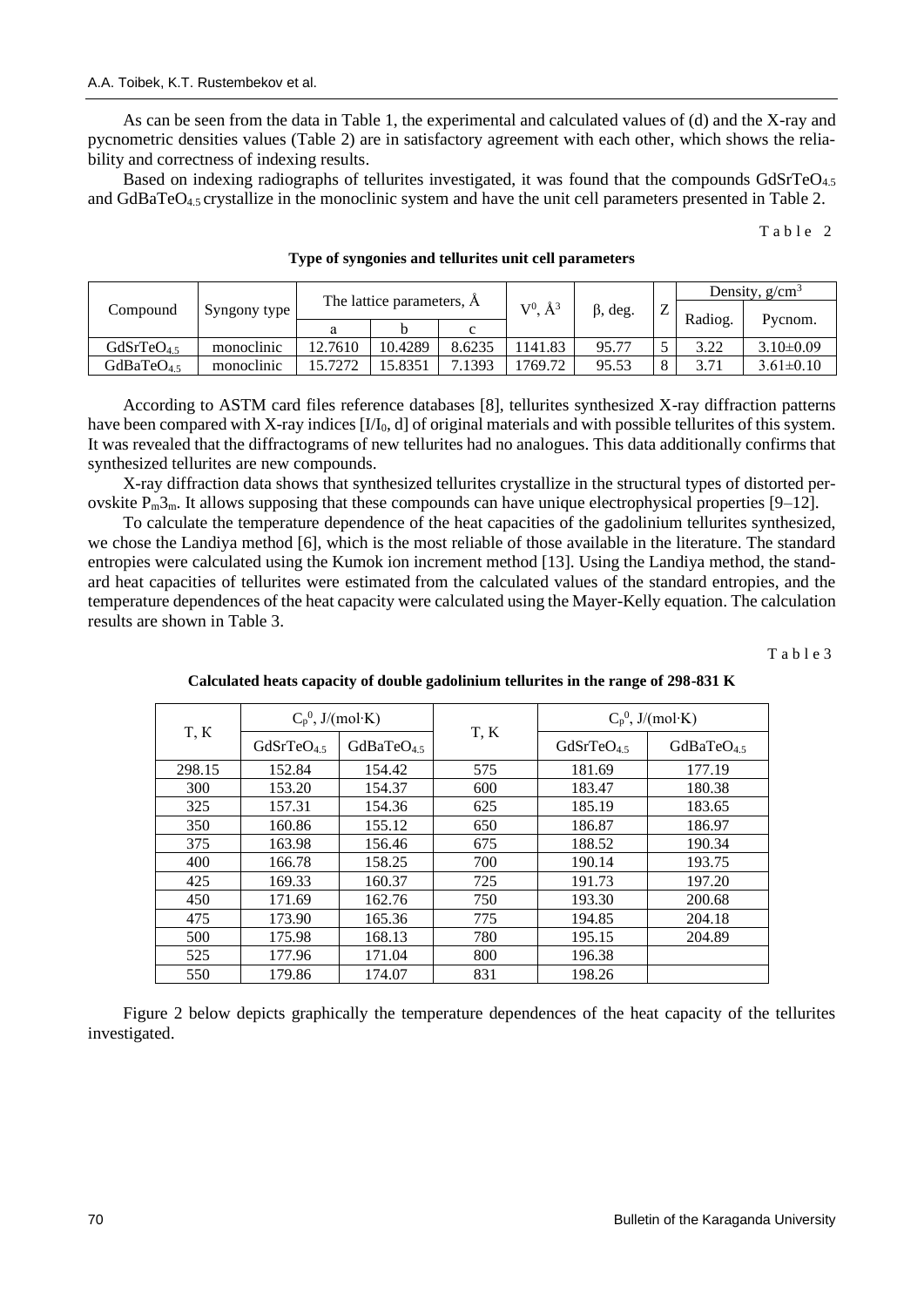As can be seen from the data in Table 1, the experimental and calculated values of (d) and the X-ray and pycnometric densities values (Table 2) are in satisfactory agreement with each other, which shows the reliability and correctness of indexing results.

Based on indexing radiographs of tellurites investigated, it was found that the compounds GdSrTeO<sub>4.5</sub> and GdBaTeO4.5 crystallize in the monoclinic system and have the unit cell parameters presented in Table 2.

 $Table 2$ 

|                       | Syngony type |                           |         |        | $\mathbf{A}^3$<br>$\mathrm{V}^0$ | $\beta$ , deg. | ∠ | Density, $g/cm^3$ |                 |
|-----------------------|--------------|---------------------------|---------|--------|----------------------------------|----------------|---|-------------------|-----------------|
| Compound              |              | The lattice parameters, A |         |        |                                  |                |   |                   |                 |
|                       |              |                           |         |        |                                  |                |   | Radiog.           | Pycnom.         |
| GdSrTeO <sub>45</sub> | monoclinic   | 12.7610                   | 10.4289 | 8.6235 | 141.83                           | 95.77          |   | 3.22              | $3.10\pm0.09$   |
| GdBaTe $O45$          | monoclinic   | 15.7272                   | 5.8351  | .1393  | 1769.72                          | 95.53          |   | 3.71              | $3.61 \pm 0.10$ |

#### **Type of syngonies and tellurites unit cell parameters**

According to ASTM card files reference databases [8], tellurites synthesized X-ray diffraction patterns have been compared with X-ray indices  $[I/I_0, d]$  of original materials and with possible tellurites of this system. It was revealed that the diffractograms of new tellurites had no analogues. This data additionally confirms that synthesized tellurites are new compounds.

X-ray diffraction data shows that synthesized tellurites crystallize in the structural types of distorted perovskite  $P_m 3_m$ . It allows supposing that these compounds can have unique electrophysical properties [9–12].

To calculate the temperature dependence of the heat capacities of the gadolinium tellurites synthesized, we chose the Landiya method [6], which is the most reliable of those available in the literature. The standard entropies were calculated using the Kumok ion increment method [13]. Using the Landiya method, the standard heat capacities of tellurites were estimated from the calculated values of the standard entropies, and the temperature dependences of the heat capacity were calculated using the Mayer-Kelly equation. The calculation results are shown in Table 3.

T a b l e 3

| T, K   | $C_p^0$ , J/(mol·K)    |                  |      | $C_p^0$ , J/(mol·K)   |              |  |
|--------|------------------------|------------------|------|-----------------------|--------------|--|
|        | GdSrTeO <sub>4.5</sub> | GdBaTe $O_{4.5}$ | T, K | GdSrTeO <sub>45</sub> | GdBaTe $O45$ |  |
| 298.15 | 152.84                 | 154.42           | 575  | 181.69                | 177.19       |  |
| 300    | 153.20                 | 154.37           | 600  | 183.47                | 180.38       |  |
| 325    | 157.31                 | 154.36           | 625  | 185.19                | 183.65       |  |
| 350    | 160.86                 | 155.12           | 650  | 186.87                | 186.97       |  |
| 375    | 163.98                 | 156.46           | 675  | 188.52                | 190.34       |  |
| 400    | 166.78                 | 158.25           | 700  | 190.14                | 193.75       |  |
| 425    | 169.33                 | 160.37           | 725  | 191.73                | 197.20       |  |
| 450    | 171.69                 | 162.76           | 750  | 193.30                | 200.68       |  |
| 475    | 173.90                 | 165.36           | 775  | 194.85                | 204.18       |  |
| 500    | 175.98                 | 168.13           | 780  | 195.15                | 204.89       |  |
| 525    | 177.96                 | 171.04           | 800  | 196.38                |              |  |
| 550    | 179.86                 | 174.07           | 831  | 198.26                |              |  |

**Calculated heats capacity of double gadolinium tellurites in the range of 298-831 K**

Figure 2 below depicts graphically the temperature dependences of the heat capacity of the tellurites investigated.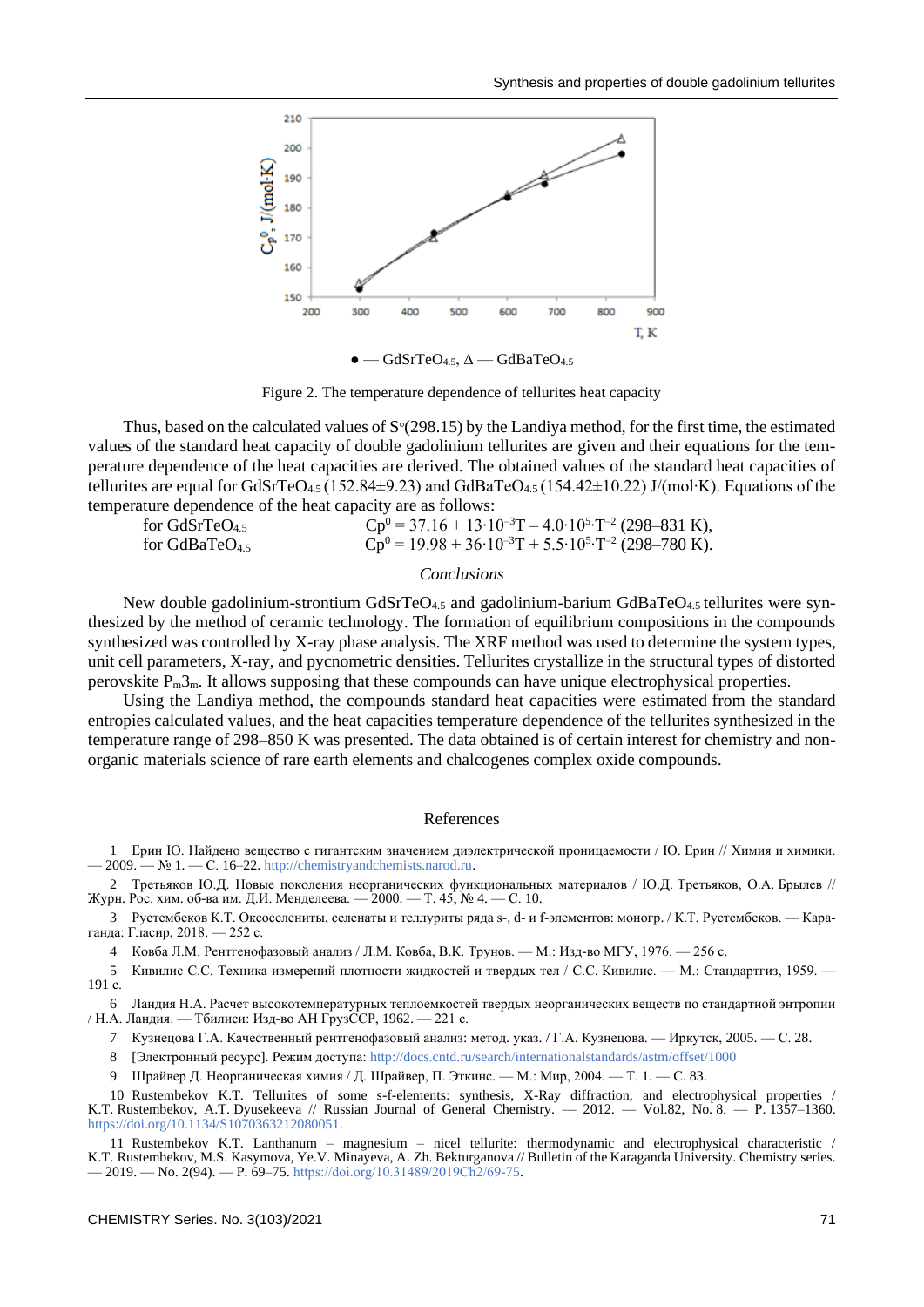

Figure 2. The temperature dependence of tellurites heat capacity

Thus, based on the calculated values of  $S^{\circ}(298.15)$  by the Landiya method, for the first time, the estimated values of the standard heat capacity of double gadolinium tellurites are given and their equations for the temperature dependence of the heat capacities are derived. The obtained values of the standard heat capacities of tellurites are equal for GdSrTeO4.5 (152.84±9.23) and GdBaTeO4.5 (154.42±10.22) J/(mol∙K). Equations of the temperature dependence of the heat capacity are as follows:

 $\text{Cp}^0 = 37.16 + 13 \cdot 10^{-3} \text{T} - 4.0 \cdot 10^5 \cdot \text{T}^{-2}$  (298–831 K), for GdBaTeO<sub>4.5</sub>  $\text{CP}^0 = 19.98 + 36 \cdot 10^{-3} \text{T} + 5.5 \cdot 10^5 \cdot \text{T}^{-2}$  (298–780 K).

## *Conclusions*

New double gadolinium-strontium  $GdSrTeO<sub>4.5</sub>$  and gadolinium-barium  $GdBaTeO<sub>4.5</sub>$  tellurites were synthesized by the method of ceramic technology. The formation of equilibrium compositions in the compounds synthesized was controlled by X-ray phase analysis. The XRF method was used to determine the system types, unit cell parameters, X-ray, and pycnometric densities. Tellurites crystallize in the structural types of distorted perovskite  $P_m 3_m$ . It allows supposing that these compounds can have unique electrophysical properties.

Using the Landiya method, the compounds standard heat capacities were estimated from the standard entropies calculated values, and the heat capacities temperature dependence of the tellurites synthesized in the temperature range of 298–850 K was presented. The data obtained is of certain interest for chemistry and nonorganic materials science of rare earth elements and chalcogenes complex oxide compounds.

#### References

1 Ерин Ю. Найдено вещество с гигантским значением диэлектрической проницаемости / Ю. Ерин // Химия и химики. — 2009. — № 1. — С. 16–22[. http://chemistryandchemists.narod.ru.](http://chemistryandchemists.narod.ru/)

2 Третьяков Ю.Д. Новые поколения неорганических функциональных материалов / Ю.Д. Третьяков, О.А. Брылев // Журн. Рос. хим. об-ва им. Д.И. Менделеева. — 2000. — Т. 45, № 4. — С. 10.

3 Рустембеков К.Т. Оксоселениты, селенаты и теллуриты ряда s-, d- и f-элементов: моногр. / К.Т. Рустембеков. — Караганда: Гласир, 2018. — 252 с.

4 Ковба Л.М. Рентгенофазовый анализ / Л.М. Ковба, В.К. Трунов. — М.: Изд-во МГУ, 1976. — 256 с.

5 Кивилис С.С. Техника измерений плотности жидкостей и твердых тел / С.С. Кивилис. — М.: Стандартгиз, 1959. — 191 с.

6 Ландия Н.А. Расчет высокотемпературных теплоемкостей твердых неорганических веществ по стандартной энтропии / Н.А. Ландия. — Тбилиси: Изд-во АН ГрузССР, 1962. — 221 с.

7 Кузнецова Г.А. Качественный рентгенофазовый анализ: метод. указ. / Г.А. Кузнецова. — Иркутск, 2005. — С. 28.

8 [Электронный ресурс]. Режим доступа[: http://docs.cntd.ru/search/internationalstandards/astm/offset/1000](http://docs.cntd.ru/search/internationalstandards/astm/offset/1000)

9 Шрайвер Д. Неорганическая химия / Д. Шрайвер, П. Эткинс. — М.: Мир, 2004. — Т. 1. — С. 83.

10 Rustembekov K.T. Tellurites of some s-f-elements: synthesis, X-Ray diffraction, and electrophysical properties / K.T. Rustembekov, A.T. Dyusekeeva // Russian Journal of General Chemistry. — 2012. — Vol.82, No. 8. — Р. 1357–1360. [https://doi.org/10.1134/S1070363212080051.](https://doi.org/10.1134/S1070363212080051)

11 Rustembekov K.T. Lanthanum – magnesium – nicel tellurite: thermodynamic and electrophysical characteristic / K.T. Rustembekov, M.S. Kasymova, Ye.V. Minayeva, A. Zh. Bekturganova // Bulletin of the Karaganda University. Сhemistry series.  $-2019. -$  No. 2(94).  $- P. 69-75.$  https://doi.org/10.31489/2019Ch2/69-75.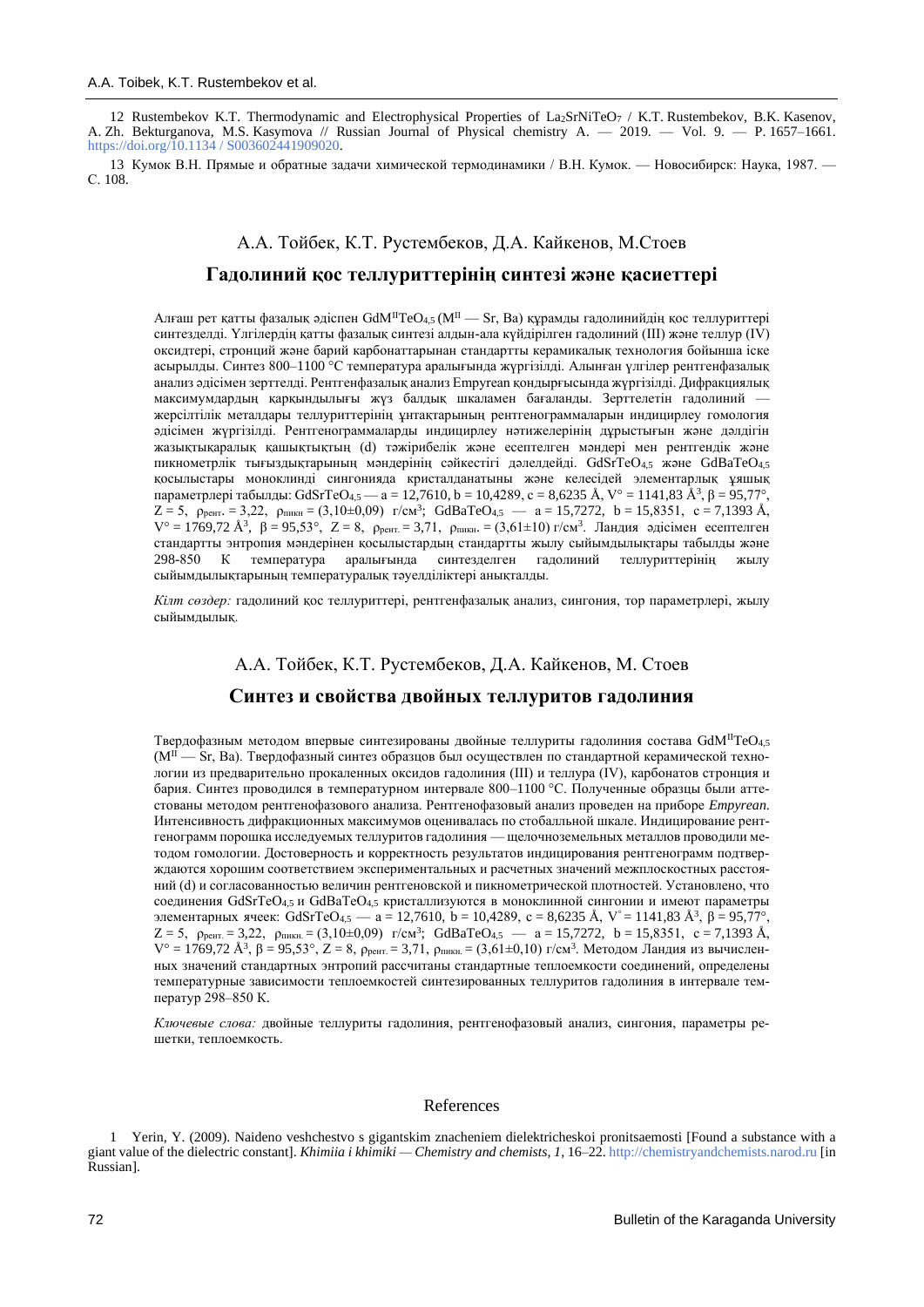12 Rustembekov K.T. Thermodynamic and Electrophysical Properties of La2SrNiTeO<sup>7</sup> / K.T. Rustembekov, B.K. Kasenov, A. Zh. Bekturganova, M.S. Kasymova // Russian Journal of Physical chemistry A. — 2019. — Vol. 9. — P. 1657–1661. [https://doi.org/10.1134 / S003602441909020.](https://doi.org/10.1134%20/%20S003602441909020)

13 Кумок В.Н. Прямые и обратные задачи химической термодинамики / В.Н. Кумок. — Новосибирск: Наука, 1987. — С. 108.

# А.А. Тойбек, К.Т. Рустембеков, Д.А. Кайкенов, М.Стоев **Гадолиний қос теллуриттерінің синтезі және қасиеттері**

Алғаш рет қатты фазалық әдіспен GdM<sup>II</sup>TeO<sub>45</sub> (M<sup>II</sup> — Sr, Ba) құрамды гадолинийдің қос теллуриттері синтезделді. Үлгілердің қатты фазалық синтезі алдын-ала күйдірілген гадолиний (III) және теллур (IV) оксидтері, стронций және барий карбонаттарынан стандартты керамикалық технология бойынша іске асырылды. Синтез 800–1100 °С температура аралығында жүргізілді. Алынған үлгілер рентгенфазалық анализ әдісімен зерттелді. Рентгенфазалық анализ Empyrean қондырғысында жүргізілді. Дифракциялық максимумдардың қарқындылығы жүз балдық шкаламен бағаланды. Зерттелетін гадолиний жерсілтілік металдары теллуриттерінің ұнтақтарының рентгенограммаларын индицирлеу гомология әдісімен жүргізілді. Рентгенограммаларды индицирлеу нәтижелерінің дұрыстығын және дәлдігін жазықтықаралық қашықтықтың (d) тәжірибелік және есептелген мәндері мен рентгендік және пикнометрлік тығыздықтарының мәндерінің сәйкестігі дәлелдейді. GdSrTeO4,5 және GdBaTeO4,5 қосылыстары моноклинді сингонияда кристалданатыны және келесідей элементарлық ұяшық параметрлері табылды: GdSrTeO4,5 — а = 12,7610, b = 10,4289, c = 8,6235 Å, V° = 1141,83 Å $^3, \beta$  = 95,77°,  $Z = 5$ ,  $\rho_{\text{pert.}} = 3.22$ ,  $\rho_{\text{nnkH}} = (3.10 \pm 0.09)$  r/cm<sup>3</sup>; GdBaTeO<sub>4.5</sub> — a = 15,7272, b = 15,8351, c = 7,1393 Å,  $V^{\circ} = 1769,72 \text{ Å}^3$ , β = 95,53°, Z = 8, ρ<sub>рент.</sub> = 3,71, ρ<sub>пикн</sub>. = (3,61±10) г/см<sup>3</sup>. Ландия әдісімен есептелген стандартты энтропия мәндерінен қосылыстардың стандартты жылу сыйымдылықтары табылды және<br>298-850 К температура аралығында синтезделген гадолиний теллуриттерінің жылу синтезделген гадолиний теллуриттерінің жылу сыйымдылықтарының температуралық тәуелділіктері анықталды.

*Кілт сөздер:* гадолиний қос теллуриттері, рентгенфазалық анализ, сингония, тор параметрлері, жылу сыйымдылық.

## А.А. Тойбек, К.Т. Рустембеков, Д.А. Кайкенов, М. Стоев

## **Синтез и свойства двойных теллуритов гадолиния**

Твердофазным методом впервые синтезированы двойные теллуриты гадолиния состава  $GdM<sup>H</sup>TeO<sub>4.5</sub>$  $(M^{II} - Sr, Ba)$ . Твердофазный синтез образцов был осуществлен по стандартной керамической технологии из предварительно прокаленных оксидов гадолиния (III) и теллура (IV), карбонатов стронция и бария. Синтез проводился в температурном интервале 800–1100 °С. Полученные образцы были аттестованы методом рентгенофазового анализа. Рентгенофазовый анализ проведен на приборе *Empyrean*. Интенсивность дифракционных максимумов оценивалась по стобалльной шкале. Индицирование рентгенограмм порошка исследуемых теллуритов гадолиния — щелочноземельных металлов проводили методом гомологии. Достоверность и корректность результатов индицирования рентгенограмм подтверждаются хорошим соответствием экспериментальных и расчетных значений межплоскостных расстояний (d) и согласованностью величин рентгеновской и пикнометрической плотностей. Установлено, что соединения GdSrTeO4,5 и GdBaTeO4,5 кристаллизуются в моноклинной сингонии и имеют параметры элементарных ячеек: GdSrTeO<sub>4,5</sub> — а = 12,7610, b = 10,4289, c = 8,6235 Å, V° = 1141,83 Å<sup>3</sup>, β = 95,77°,  $Z = 5$ ,  $\rho_{\text{pert.}} = 3,22$ ,  $\rho_{\text{nnkH.}} = (3,10\pm0,09)$  r/cm<sup>3</sup>; GdBaTeO<sub>4,5</sub> — a = 15,7272, b = 15,8351, c = 7,1393 Å,  $V^{\circ} = 1769,72$   $\AA^{3}$ ,  $\beta = 95,53^{\circ}$ ,  $Z = 8$ ,  $\rho_{\text{perr}} = 3,71$ ,  $\rho_{\text{nu}} = (3,61 \pm 0,10)$  г/см<sup>3</sup>. Методом Ландия из вычисленных значений стандартных энтропий рассчитаны стандартные теплоемкости соединений, определены температурные зависимости теплоемкостей синтезированных теллуритов гадолиния в интервале температур 298–850 К.

*Ключевые слова:* двойные теллуриты гадолиния, рентгенoфазовый анализ, сингония, параметры решетки, теплоемкость.

#### References

1 Yerin, Y. (2009). Naideno veshchestvo s gigantskim znacheniem dielektricheskoi pronitsaemosti [Found a substance with a giant value of the dielectric constant]. *Khimiia i khimiki — Chemistry and chemists, 1*, 16–22[. http://chemistryandchemists.narod.ru](http://chemistryandchemists.narod.ru/) [in Russian].